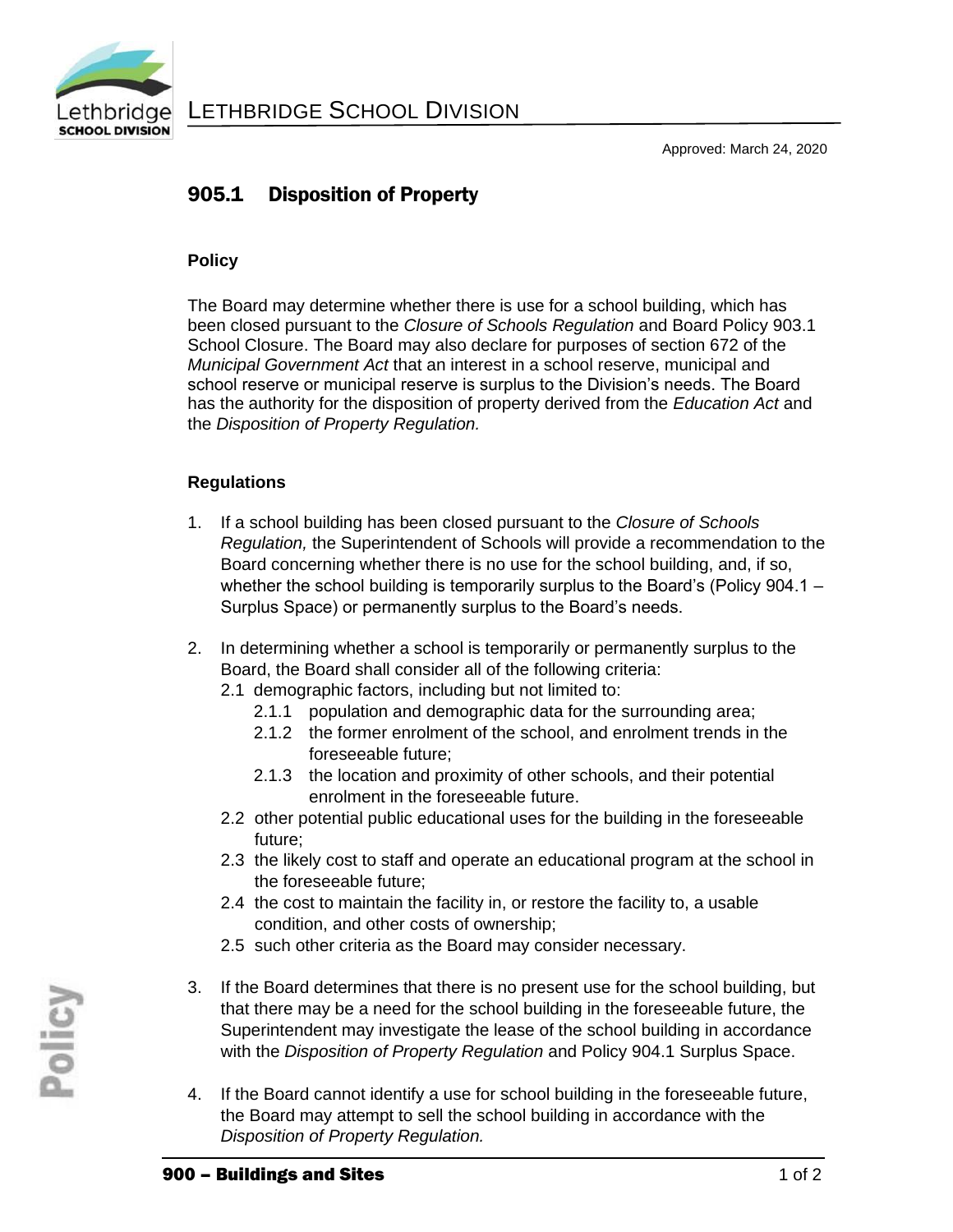

# 905.1 Disposition of Property

### **Policy**

The Board may determine whether there is use for a school building, which has been closed pursuant to the *Closure of Schools Regulation* and Board Policy 903.1 School Closure. The Board may also declare for purposes of section 672 of the *Municipal Government Act* that an interest in a school reserve, municipal and school reserve or municipal reserve is surplus to the Division's needs. The Board has the authority for the disposition of property derived from the *Education Act* and the *Disposition of Property Regulation.*

## **Regulations**

- 1. If a school building has been closed pursuant to the *Closure of Schools Regulation,* the Superintendent of Schools will provide a recommendation to the Board concerning whether there is no use for the school building, and, if so, whether the school building is temporarily surplus to the Board's (Policy 904.1 – Surplus Space) or permanently surplus to the Board's needs.
- 2. In determining whether a school is temporarily or permanently surplus to the Board, the Board shall consider all of the following criteria:
	- 2.1 demographic factors, including but not limited to:
		- 2.1.1 population and demographic data for the surrounding area;
		- 2.1.2 the former enrolment of the school, and enrolment trends in the foreseeable future;
		- 2.1.3 the location and proximity of other schools, and their potential enrolment in the foreseeable future.
	- 2.2 other potential public educational uses for the building in the foreseeable future;
	- 2.3 the likely cost to staff and operate an educational program at the school in the foreseeable future;
	- 2.4 the cost to maintain the facility in, or restore the facility to, a usable condition, and other costs of ownership;
	- 2.5 such other criteria as the Board may consider necessary.
- 3. If the Board determines that there is no present use for the school building, but that there may be a need for the school building in the foreseeable future, the Superintendent may investigate the lease of the school building in accordance with the *Disposition of Property Regulation* and Policy 904.1 Surplus Space.
- 4. If the Board cannot identify a use for school building in the foreseeable future, the Board may attempt to sell the school building in accordance with the *Disposition of Property Regulation.*